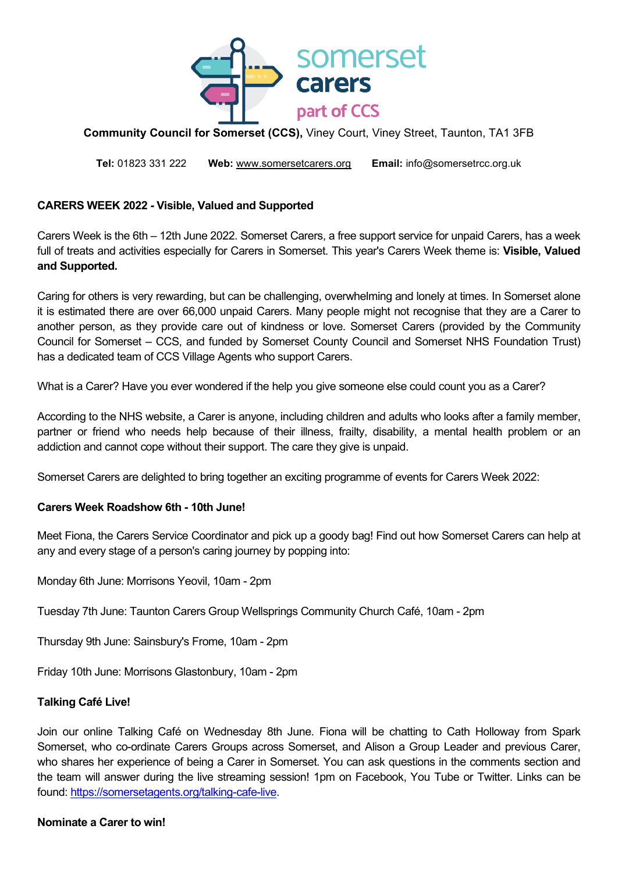

# **Community Council for Somerset (CCS),** Viney Court, Viney Street, Taunton, TA1 3FB

**Tel:** 01823 331 222 **Web:** [www.somersetcarers.org](http://www.somersetagents.org/) **Email:** info@somersetrcc.org.uk

# **CARERS WEEK 2022 - Visible, Valued and Supported**

Carers Week is the 6th – 12th June 2022. Somerset Carers, a free support service for unpaid Carers, has a week full of treats and activities especially for Carers in Somerset. This year's Carers Week theme is: **Visible, Valued and Supported.**

Caring for others is very rewarding, but can be challenging, overwhelming and lonely at times. In Somerset alone it is estimated there are over 66,000 unpaid Carers. Many people might not recognise that they are a Carer to another person, as they provide care out of kindness or love. Somerset Carers (provided by the Community Council for Somerset – CCS, and funded by Somerset County Council and Somerset NHS Foundation Trust) has a dedicated team of CCS Village Agents who support Carers.

What is a Carer? Have you ever wondered if the help you give someone else could count you as a Carer?

According to the NHS website, a Carer is anyone, including children and adults who looks after a family member, partner or friend who needs help because of their illness, frailty, disability, a mental health problem or an addiction and cannot cope without their support. The care they give is unpaid.

Somerset Carers are delighted to bring together an exciting programme of events for Carers Week 2022:

# **Carers Week Roadshow 6th - 10th June!**

Meet Fiona, the Carers Service Coordinator and pick up a goody bag! Find out how Somerset Carers can help at any and every stage of a person's caring journey by popping into:

Monday 6th June: Morrisons Yeovil, 10am - 2pm

Tuesday 7th June: Taunton Carers Group Wellsprings Community Church Café, 10am - 2pm

Thursday 9th June: Sainsbury's Frome, 10am - 2pm

Friday 10th June: Morrisons Glastonbury, 10am - 2pm

# **Talking Café Live!**

Join our online Talking Café on Wednesday 8th June. Fiona will be chatting to Cath Holloway from Spark Somerset, who co-ordinate Carers Groups across Somerset, and Alison a Group Leader and previous Carer, who shares her experience of being a Carer in Somerset. You can ask questions in the comments section and the team will answer during the live streaming session! 1pm on Facebook, You Tube or Twitter. Links can be found: [https://somersetagents.org/talking-cafe-live.](https://somersetagents.org/talking-cafe-live)

### **Nominate a Carer to win!**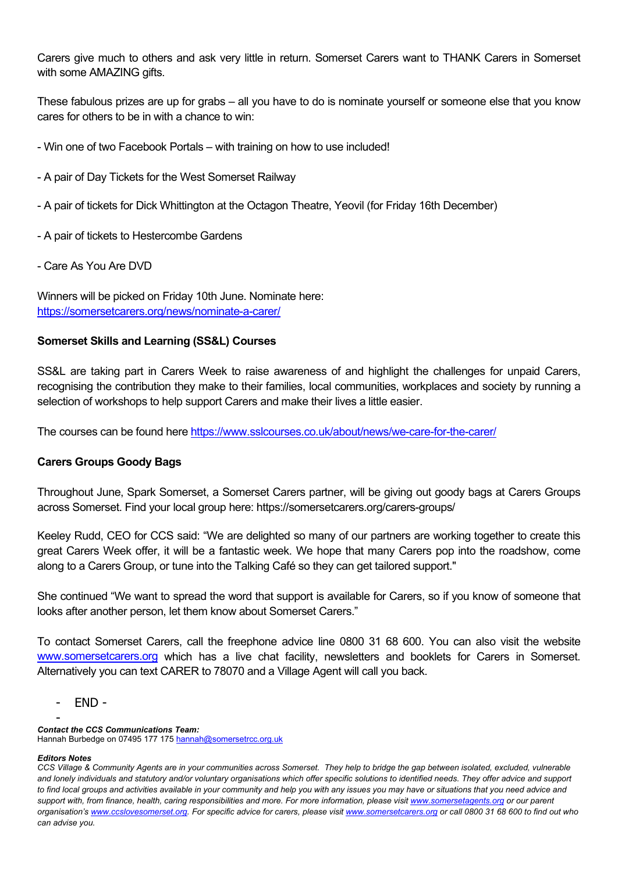Carers give much to others and ask very little in return. Somerset Carers want to THANK Carers in Somerset with some AMAZING gifts.

These fabulous prizes are up for grabs – all you have to do is nominate yourself or someone else that you know cares for others to be in with a chance to win:

- Win one of two Facebook Portals with training on how to use included!
- A pair of Day Tickets for the West Somerset Railway
- A pair of tickets for Dick Whittington at the Octagon Theatre, Yeovil (for Friday 16th December)
- A pair of tickets to Hestercombe Gardens
- Care As You Are DVD

Winners will be picked on Friday 10th June. Nominate here: <https://somersetcarers.org/news/nominate-a-carer/>

# **Somerset Skills and Learning (SS&L) Courses**

SS&L are taking part in Carers Week to raise awareness of and highlight the challenges for unpaid Carers, recognising the contribution they make to their families, local communities, workplaces and society by running a selection of workshops to help support Carers and make their lives a little easier.

The courses can be found here<https://www.sslcourses.co.uk/about/news/we-care-for-the-carer/>

# **Carers Groups Goody Bags**

Throughout June, Spark Somerset, a Somerset Carers partner, will be giving out goody bags at Carers Groups across Somerset. Find your local group here: https://somersetcarers.org/carers-groups/

Keeley Rudd, CEO for CCS said: "We are delighted so many of our partners are working together to create this great Carers Week offer, it will be a fantastic week. We hope that many Carers pop into the roadshow, come along to a Carers Group, or tune into the Talking Café so they can get tailored support."

She continued "We want to spread the word that support is available for Carers, so if you know of someone that looks after another person, let them know about Somerset Carers."

To contact Somerset Carers, call the freephone advice line 0800 31 68 600. You can also visit the website [www.somersetcarers.org](http://www.somersetcarers.org/) which has a live chat facility, newsletters and booklets for Carers in Somerset. Alternatively you can text CARER to 78070 and a Village Agent will call you back.

- END -

- *Contact the CCS Communications Team:* Hannah Burbedge on 07495 177 175 hannah@somersetrcc.org.uk

#### *Editors Notes*

*CCS Village & Community Agents are in your communities across Somerset. They help to bridge the gap between isolated, excluded, vulnerable*  and lonely individuals and statutory and/or voluntary organisations which offer specific solutions to identified needs. They offer advice and support *to find local groups and activities available in your community and help you with any issues you may have or situations that you need advice and support with, from finance, health, caring responsibilities and more. For more information, please visi[t www.somersetagents.org](http://www.somersetagents.org/) or our parent organisation'[s www.ccslovesomerset.org.](http://www.ccslovesomerset.org/) For specific advice for carers, please visi[t www.somersetcarers.org](http://www.somersetcarers.org/) or call 0800 31 68 600 to find out who can advise you.*